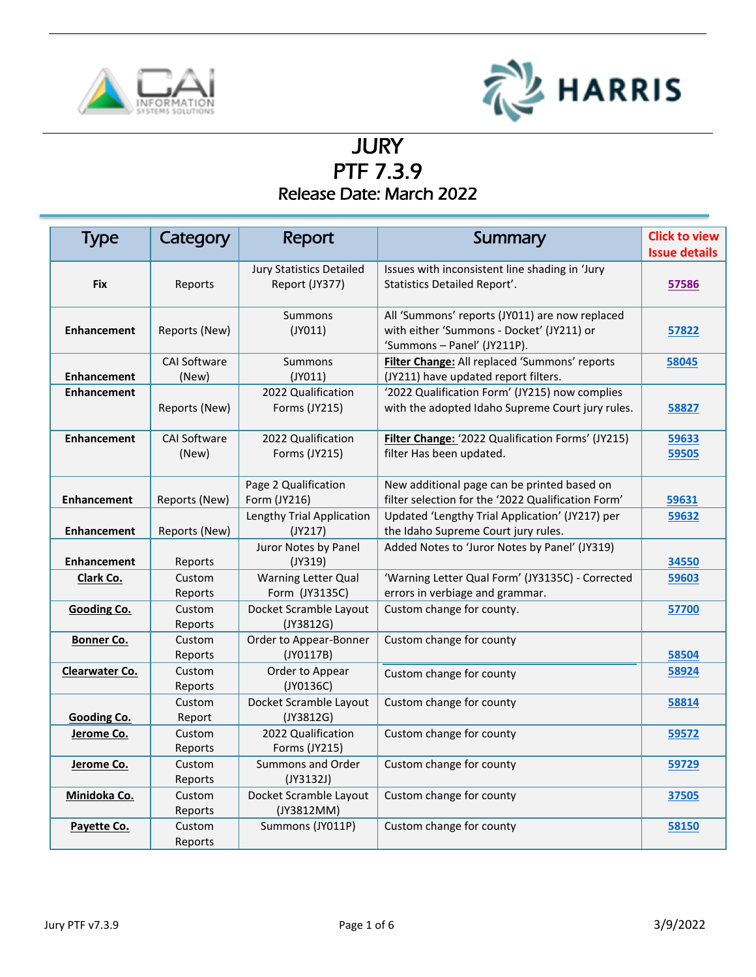



 $\overline{a}$ 

# **JURY** PTF 7.3.9 Release Date: March 2022

<span id="page-0-0"></span>

| <b>Type</b>        | Category                     | Report                                            | Summary                                                                                                                    | <b>Click to view</b><br><b>Issue details</b> |
|--------------------|------------------------------|---------------------------------------------------|----------------------------------------------------------------------------------------------------------------------------|----------------------------------------------|
| <b>Fix</b>         | Reports                      | <b>Jury Statistics Detailed</b><br>Report (JY377) | Issues with inconsistent line shading in 'Jury<br>Statistics Detailed Report'.                                             | 57586                                        |
| <b>Enhancement</b> | Reports (New)                | Summons<br>$($ JYO11 $)$                          | All 'Summons' reports (JY011) are now replaced<br>with either 'Summons - Docket' (JY211) or<br>'Summons - Panel' (JY211P). | 57822                                        |
| <b>Enhancement</b> | <b>CAI Software</b><br>(New) | <b>Summons</b><br>$($ JY011 $)$                   | Filter Change: All replaced 'Summons' reports<br>(JY211) have updated report filters.                                      | 58045                                        |
| <b>Enhancement</b> | Reports (New)                | 2022 Qualification<br>Forms (JY215)               | '2022 Qualification Form' (JY215) now complies<br>with the adopted Idaho Supreme Court jury rules.                         | 58827                                        |
| <b>Enhancement</b> | <b>CAI Software</b><br>(New) | 2022 Qualification<br>Forms (JY215)               | Filter Change: '2022 Qualification Forms' (JY215)<br>filter Has been updated.                                              | 59633<br>59505                               |
| <b>Enhancement</b> | Reports (New)                | Page 2 Qualification<br>Form (JY216)              | New additional page can be printed based on<br>filter selection for the '2022 Qualification Form'                          | 59631                                        |
| <b>Enhancement</b> | Reports (New)                | Lengthy Trial Application<br>(JY217)              | Updated 'Lengthy Trial Application' (JY217) per<br>the Idaho Supreme Court jury rules.                                     | 59632                                        |
| <b>Enhancement</b> | Reports                      | Juror Notes by Panel<br>$($ JY319 $)$             | Added Notes to 'Juror Notes by Panel' (JY319)                                                                              | 34550                                        |
| <b>Clark Co.</b>   | Custom<br>Reports            | Warning Letter Qual<br>Form (JY3135C)             | 'Warning Letter Qual Form' (JY3135C) - Corrected<br>errors in verbiage and grammar.                                        | 59603                                        |
| <b>Gooding Co.</b> | Custom<br>Reports            | Docket Scramble Layout<br>(JY3812G)               | Custom change for county.                                                                                                  | 57700                                        |
| <b>Bonner Co.</b>  | Custom<br>Reports            | Order to Appear-Bonner<br>(JY0117B)               | Custom change for county                                                                                                   | 58504                                        |
| Clearwater Co.     | Custom<br>Reports            | Order to Appear<br>(JY0136C)                      | Custom change for county                                                                                                   | 58924                                        |
| <b>Gooding Co.</b> | Custom<br>Report             | Docket Scramble Layout<br>(JY3812G)               | Custom change for county                                                                                                   | 58814                                        |
| Jerome Co.         | Custom<br>Reports            | 2022 Qualification<br>Forms (JY215)               | Custom change for county                                                                                                   | 59572                                        |
| Jerome Co.         | Custom<br>Reports            | Summons and Order<br>(JY3132J)                    | Custom change for county                                                                                                   | 59729                                        |
| Minidoka Co.       | Custom<br>Reports            | Docket Scramble Layout<br>(JY3812MM)              | Custom change for county                                                                                                   | 37505                                        |
| Payette Co.        | Custom<br>Reports            | Summons (JY011P)                                  | Custom change for county                                                                                                   | 58150                                        |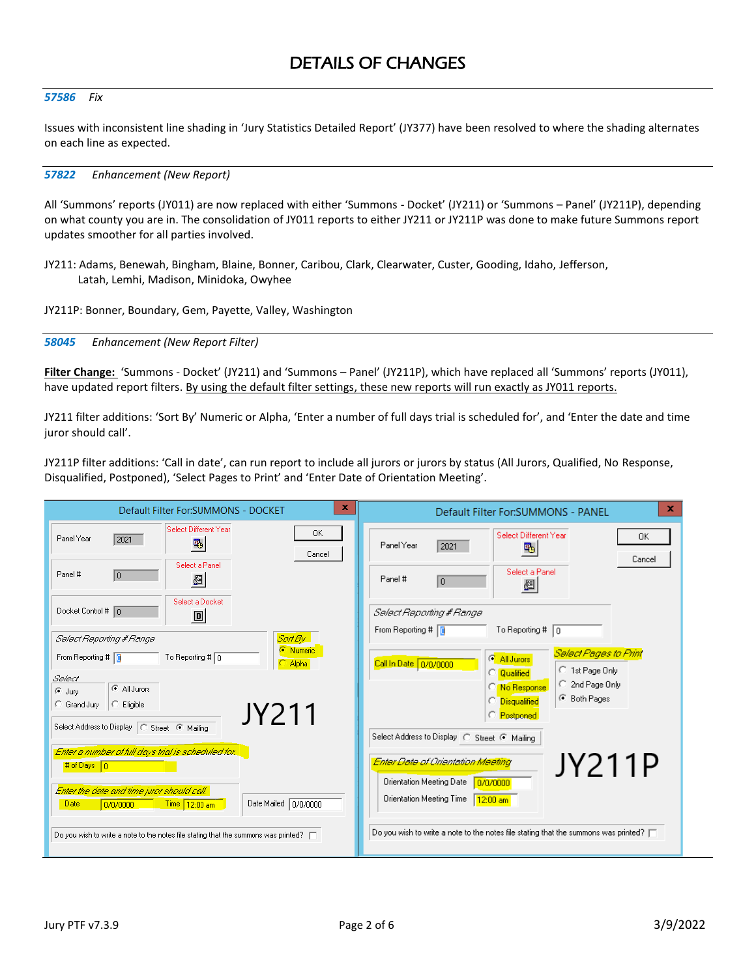### *57586 Fix*

Issues with inconsistent line shading in 'Jury Statistics Detailed Report' (JY377) have been resolved to where the shading alternates on each line as expected.

## <span id="page-1-0"></span>*57822 Enhancement (New Report)*

All 'Summons' reports (JY011) are now replaced with either 'Summons - Docket' (JY211) or 'Summons – Panel' (JY211P), depending on what county you are in. The consolidation of JY011 reports to either JY211 or JY211P was done to make future Summons report updates smoother for all parties involved.

- JY211: Adams, Benewah, Bingham, Blaine, Bonner, Caribou, Clark, Clearwater, Custer, Gooding, Idaho, Jefferson, Latah, Lemhi, Madison, Minidoka, Owyhee
- JY211P: Bonner, Boundary, Gem, Payette, Valley, Washington

<span id="page-1-1"></span>*58045 Enhancement (New Report Filter)*

**Filter Change:** 'Summons - Docket' (JY211) and 'Summons – Panel' (JY211P), which have replaced all 'Summons' reports (JY011), have updated report filters. By using the default filter settings, these new reports will run exactly as JY011 reports.

JY211 filter additions: 'Sort By' Numeric or Alpha, 'Enter a number of full days trial is scheduled for', and 'Enter the date and time juror should call'.

JY211P filter additions: 'Call in date', can run report to include all jurors or jurors by status (All Jurors, Qualified, No Response, Disqualified, Postponed), 'Select Pages to Print' and 'Enter Date of Orientation Meeting'.

| $\mathbf x$<br>Default Filter For: SUMMONS - DOCKET                                                            | x<br>Default Filter For: SUMMONS - PANEL                                                        |
|----------------------------------------------------------------------------------------------------------------|-------------------------------------------------------------------------------------------------|
| Select Different Year<br>0K<br>Panel Year<br>2021<br>$\mathbf{F}_{\mathbf{B}}$<br>Cancel                       | Select Different Year<br>OK.<br>Panel Year<br>2021<br>$\mathbb{F}_p$<br>Cancel                  |
| Select a Panel<br>Panel #<br>0<br>ł                                                                            | Select a Panel<br>Panel #<br>10.<br>图                                                           |
| Select a Docket<br>Docket Control # 0<br>$\Box$                                                                | Select Reporting # Range<br>To Reporting # $\boxed{0}$                                          |
| Sort By<br>Select Reporting # Range                                                                            | From Reporting #                                                                                |
| <b>C</b> Numeric<br>To Reporting # $\boxed{0}$<br>From Reporting # T<br>Alpha                                  | <b>Select Pages to Print</b><br><b>C</b> All Jurors<br>Call In Date 0/0/0000<br>C 1st Page Only |
| Select<br>C All Jurors                                                                                         | <b>Qualified</b><br>C 2nd Page Only<br>C No Response                                            |
| G Jury<br>C Grand Jury<br>$\subseteq$ Eligible<br>JY211                                                        | C Both Pages<br><b>C</b> Disqualified<br>C Postponed                                            |
| Select Address to Display   C Street C Mailing                                                                 | Select Address to Display   C Street @ Mailing                                                  |
| Enter a number of full days trial is scheduled for.                                                            | Enter Date of Orientation Meeting                                                               |
| # of Days $\boxed{0}$                                                                                          | JY211P                                                                                          |
| Enter the date and time juror should call.<br>Date Mailed 0/0/0000<br>0/0/0000<br>Time 12:00 am<br><b>Date</b> | <b>Orientation Meeting Date</b><br>0/0/0000<br>Orientation Meeting Time<br>$12:00$ am           |
| Do you wish to write a note to the notes file stating that the summons was printed? $\Box$                     | Do you wish to write a note to the notes file stating that the summons was printed? $\Box$      |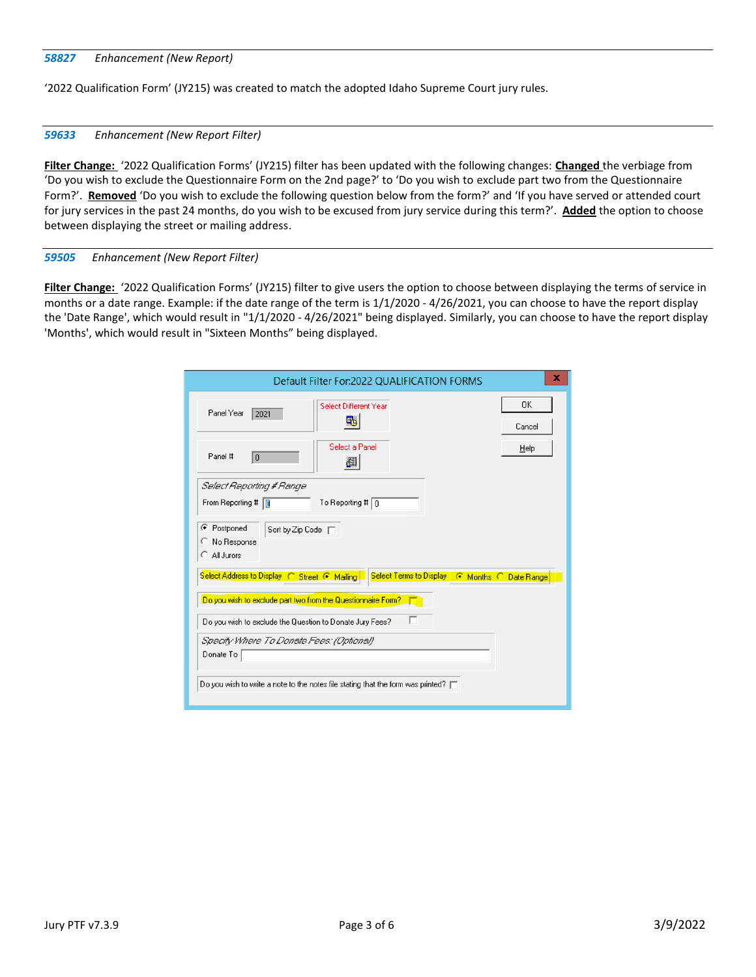## <span id="page-2-0"></span>*58827 Enhancement (New Report)*

'2022 Qualification Form' (JY215) was created to match the adopted Idaho Supreme Court jury rules.

## <span id="page-2-1"></span>*59633 Enhancement (New Report Filter)*

**Filter Change:** '2022 Qualification Forms' (JY215) filter has been updated with the following changes: **Changed** the verbiage from 'Do you wish to exclude the Questionnaire Form on the 2nd page?' to 'Do you wish to exclude part two from the Questionnaire Form?'. **Removed** 'Do you wish to exclude the following question below from the form?' and 'If you have served or attended court for jury services in the past 24 months, do you wish to be excused from jury service during this term?'. **Added** the option to choose between displaying the street or mailing address.

## <span id="page-2-2"></span>*59505 Enhancement (New Report Filter)*

**Filter Change:** '2022 Qualification Forms' (JY215) filter to give users the option to choose between displaying the terms of service in months or a date range. Example: if the date range of the term is 1/1/2020 - 4/26/2021, you can choose to have the report display the 'Date Range', which would result in "1/1/2020 - 4/26/2021" being displayed. Similarly, you can choose to have the report display 'Months', which would result in "Sixteen Months" being displayed.

| Default Filter For:2022 QUALIFICATION FORMS                                                | x            |
|--------------------------------------------------------------------------------------------|--------------|
| Select Different Year<br>Panel Year<br>2021<br>卧                                           | 0K<br>Cancel |
| Select a Panel<br>Panel #<br>$\overline{0}$<br>图                                           | Help         |
| Select Reporting # Range                                                                   |              |
| To Reporting # $\boxed{0}$<br>From Reporting #                                             |              |
| Postponed<br>$\bullet$<br>Sort by Zip Code  <br>No Response<br>All Jurors                  |              |
| Select Address to Display C Street C Mailing Select Terms to Display C Months C Date Range |              |
| Do you wish to exclude part two from the Questionnaire Form? $\Box$                        |              |
| г<br>Do you wish to exclude the Question to Donate Jury Fees?                              |              |
| Specify Where To Donate Fees: (Optional)                                                   |              |
| Donate To                                                                                  |              |
|                                                                                            |              |
| Do you wish to write a note to the notes file stating that the form was printed? $\Box$    |              |
|                                                                                            |              |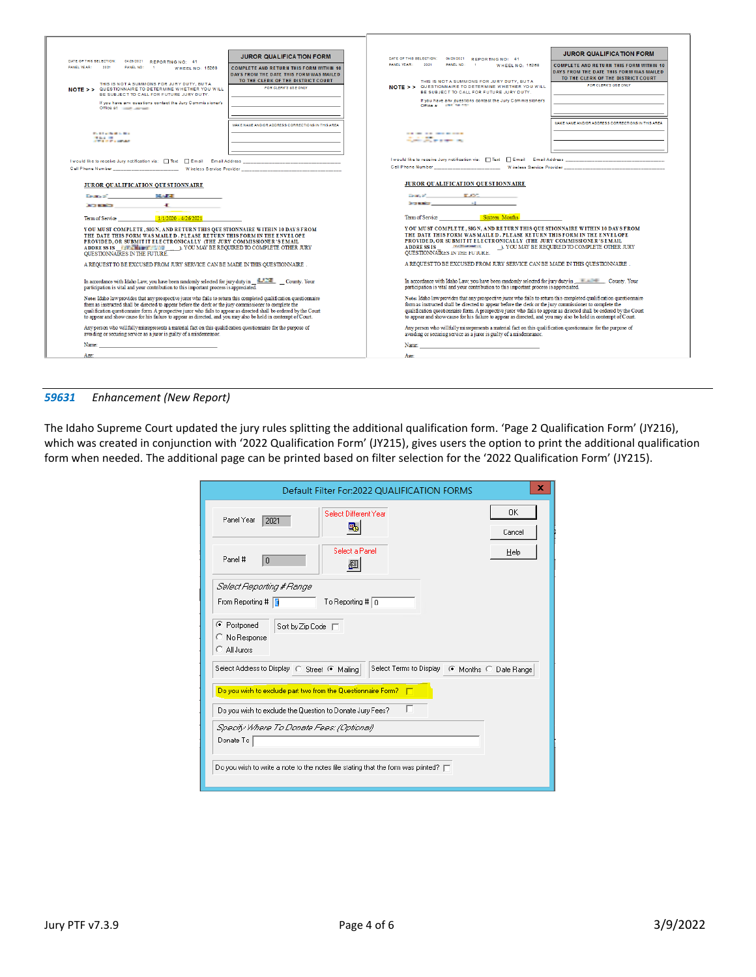| DATE OF THIS SELECTION: 04/26/2021 REPORTING NO: 41<br>PANEL YEAR: 2021<br>PANEL NO: 1<br><b>WHEEL NO: 15268</b>                                                                                                                                                                                                                                                                                                                                                      | <b>JUROR QUALIFICATION FORM</b><br><b>COMPLETE AND RETURN THIS FORM WITHIN 10</b> | DATE OF THIS SELECTION: 04/26/2021 REPORTING NO: 41<br>PANEL YEAR: 2021<br>PANEL NO: 1<br><b>WHEEL NO: 15268</b>                                                                                                                                                                                                                                                                                                                                                                                        | <b>JUROR QUALIFICATION FORM</b><br><b>COMPLETE AND RETURN THIS FORM WITHIN 10</b> |
|-----------------------------------------------------------------------------------------------------------------------------------------------------------------------------------------------------------------------------------------------------------------------------------------------------------------------------------------------------------------------------------------------------------------------------------------------------------------------|-----------------------------------------------------------------------------------|---------------------------------------------------------------------------------------------------------------------------------------------------------------------------------------------------------------------------------------------------------------------------------------------------------------------------------------------------------------------------------------------------------------------------------------------------------------------------------------------------------|-----------------------------------------------------------------------------------|
|                                                                                                                                                                                                                                                                                                                                                                                                                                                                       | DAYS FROM THE DATE THIS FORM WAS MAILED                                           |                                                                                                                                                                                                                                                                                                                                                                                                                                                                                                         | DAYS FROM THE DATE THIS FORM WAS MAILED                                           |
| THIS IS NOT A SUMMONS FOR JURY DUTY, BUTA<br>NOTE > > QUESTIONNAIRE TO DETERMINE WHETHER YOU WILL<br>BE SUBJECT TO CALL FOR FUTURE JURY DUTY.                                                                                                                                                                                                                                                                                                                         | TO THE CLERK OF THE DISTRICT COURT<br>FOR CLERK'S USE ONLY                        | THIS IS NOT A SUMMONS FOR JURY DUTY. BUTA<br>NOTE > > QUESTIONNAIRE TO DETERMINE WHETHER YOU WILL<br>BE SUBJECT TO CALL FOR FUTURE JURY DUTY.                                                                                                                                                                                                                                                                                                                                                           | TO THE CLERK OF THE DISTRICT COURT.<br>FOR CLERK'S USE ONLY                       |
| If you have any questions contact the Jury Commissioner's<br>Office at the state of the state of                                                                                                                                                                                                                                                                                                                                                                      |                                                                                   | If you have any questions contact the Jury Commissioner's<br>Office at 1997 The new                                                                                                                                                                                                                                                                                                                                                                                                                     |                                                                                   |
|                                                                                                                                                                                                                                                                                                                                                                                                                                                                       |                                                                                   |                                                                                                                                                                                                                                                                                                                                                                                                                                                                                                         | MAKE NAME AND/OR ADDRESS CORRECTIONS IN THIS AREA.                                |
|                                                                                                                                                                                                                                                                                                                                                                                                                                                                       | MAKE NAME AND/OR ADDRESS CORRECTIONS IN THIS AREA                                 |                                                                                                                                                                                                                                                                                                                                                                                                                                                                                                         |                                                                                   |
| <b>Publication Control</b><br><b>Contract Contract</b>                                                                                                                                                                                                                                                                                                                                                                                                                |                                                                                   | -------------<br><b>Contract of the American</b>                                                                                                                                                                                                                                                                                                                                                                                                                                                        |                                                                                   |
|                                                                                                                                                                                                                                                                                                                                                                                                                                                                       |                                                                                   |                                                                                                                                                                                                                                                                                                                                                                                                                                                                                                         |                                                                                   |
|                                                                                                                                                                                                                                                                                                                                                                                                                                                                       |                                                                                   | I would like to receive Jury notification via: $\Box$ Text $\Box$ Email Email Address<br>Cell Phone Number _______________________________W ireless Service Provider                                                                                                                                                                                                                                                                                                                                    |                                                                                   |
|                                                                                                                                                                                                                                                                                                                                                                                                                                                                       |                                                                                   |                                                                                                                                                                                                                                                                                                                                                                                                                                                                                                         |                                                                                   |
| JUROR OUALIFICATION OUE STIONNAIRE                                                                                                                                                                                                                                                                                                                                                                                                                                    |                                                                                   | <b>JUROR QUALIFICATION QUESTIONNAIRE</b>                                                                                                                                                                                                                                                                                                                                                                                                                                                                |                                                                                   |
| Source: MAPE AND STATE AND ARRESTS                                                                                                                                                                                                                                                                                                                                                                                                                                    |                                                                                   | Donald ELOC (1997)                                                                                                                                                                                                                                                                                                                                                                                                                                                                                      |                                                                                   |
| <b>Committee of the committee of the committee</b>                                                                                                                                                                                                                                                                                                                                                                                                                    |                                                                                   | Statements and the control of the control                                                                                                                                                                                                                                                                                                                                                                                                                                                               |                                                                                   |
| Term of Service 1/1/2020 - 4/26/2021                                                                                                                                                                                                                                                                                                                                                                                                                                  |                                                                                   | Term of Service Sixteen Months                                                                                                                                                                                                                                                                                                                                                                                                                                                                          |                                                                                   |
| YOU MUST COMPLETE, SIGN, AND RETURN THIS QUE STIONNAIRE WITHIN 10 DAYS FROM<br>THE DATE THIS FORM WAS MAILED. PLEASE RETURN THIS FORM IN THE ENVELOPE<br>PROVIDED, OR SUBMIT IT ELECTRONICALLY (THE JURY COMMISSIONER'S EMAIL<br>ADDRESSIS AND THE TABLE TO DELL'S AND AN BE REQUIRED TO COMPLETE OTHER JURY<br>QUESTIONNAIRES IN THE FUTURE.                                                                                                                         |                                                                                   | YOU MUST COMPLETE, SIGN, AND RETURN THIS QUE STIONNAIRE WITHIN 10 DAYS FROM<br>THE DATE THIS FORM WAS MAILED. PLEASE RETURN THIS FORM IN THE ENVELOPE<br>PROVIDED, OR SUBMIT IT ELECTRONICALLY (THE JURY COMMISSIONER'S EMAIL<br>ADDRESSIS FIGHT DESCRIPTION OF A LIGHT OF A LIGHT OF A LIGHT OF A LIGHT OF A LIGHT OF A LIGHT OF A LIGHT OF A LIGHT OF A LIGHT OF A LIGHT OF A LIGHT OF A LIGHT OF A LIGHT OF A LIGHT OF A LIGHT OF A LIGHT OF A LIGHT OF A LI<br><b>OUESTIONNATRES IN THE FUTURE.</b> |                                                                                   |
| A REQUEST TO BE EXCUSED FROM JURY SERVICE CAN BE MADE IN THIS QUESTIONNAIRE.                                                                                                                                                                                                                                                                                                                                                                                          |                                                                                   | A REQUEST TO BE EXCUSED FROM JURY SERVICE CAN BE MADE IN THIS QUESTIONNAIRE.                                                                                                                                                                                                                                                                                                                                                                                                                            |                                                                                   |
| In accordance with Idaho Law, you have been randomly selected for jury duty in County. Your<br>participation is vital and your contribution to this important process is appreciated.                                                                                                                                                                                                                                                                                 |                                                                                   | In accordance with Idaho Law, you have been randomly selected for jury duty in $\pm$ $\pm$ $\pm$ County. Your<br>participation is vital and vour contribution to this important process is appreciated.                                                                                                                                                                                                                                                                                                 |                                                                                   |
| Note: Idaho law provides that any prospective juror who fails to return this completed qualification questionnaire<br>form as instructed shall be directed to appear before the derk or the jury commissioner to complete the<br>qualification questionnaire form A prospective juror who fails to appear as directed shall be ordered by the Court<br>to appear and show cause for his failure to appear as directed, and you may also be held in contempt of Court. |                                                                                   | Note: Idaho law provides that any prospective juror who fails to return this completed qualification questionnaire<br>form as instructed shall be directed to appear before the derk or the jury commissioner to complete the<br>qualification questionnaire form A prospective juror who fails to appear as directed shall be ordered by the Court<br>to appear and show cause for his failure to appear as directed, and you may also be held in contempt of Court.                                   |                                                                                   |
| Any person who will fully misrepresents a material fact on this qualification questionnaire for the purpose of<br>avoiding or securing service as a juror is guilty of a misdemeanor.                                                                                                                                                                                                                                                                                 |                                                                                   | Any person who will fully misrepresents a material fact on this qualification questionnaire for the purpose of<br>avoiding or securing service as a juror is guilty of a misdemeanor.                                                                                                                                                                                                                                                                                                                   |                                                                                   |
| Name: Name: 2008. The contract of the contract of the contract of the contract of the contract of the contract of the contract of the contract of the contract of the contract of the contract of the contract of the contract                                                                                                                                                                                                                                        |                                                                                   | Name: Name: 2008. [2013] And The Contract of the Contract of the Contract of the Contract of the Contract of the Contract of the Contract of the Contract of the Contract of the Contract of the Contract of the Contract of t                                                                                                                                                                                                                                                                          |                                                                                   |
| Age:                                                                                                                                                                                                                                                                                                                                                                                                                                                                  |                                                                                   | Acet                                                                                                                                                                                                                                                                                                                                                                                                                                                                                                    |                                                                                   |

## <span id="page-3-0"></span>*59631 Enhancement (New Report)*

The Idaho Supreme Court updated the jury rules splitting the additional qualification form. 'Page 2 Qualification Form' (JY216), which was created in conjunction with '2022 Qualification Form' (JY215), gives users the option to print the additional qualification form when needed. The additional page can be printed based on filter selection for the '2022 Qualification Form' (JY215).

| Default Filter For:2022 QUALIFICATION FORMS                                                       | ×            |  |  |
|---------------------------------------------------------------------------------------------------|--------------|--|--|
| Select Different Year<br>Panel Year<br>2021<br>畢                                                  | 0K<br>Cancel |  |  |
| Select a Panel<br>Panel #<br>$\overline{0}$<br>眉                                                  | Help         |  |  |
| Select Reporting # Range<br>To Reporting # $\boxed{0}$<br>From Reporting # T                      |              |  |  |
| Postponed<br>œ<br>Sort by Zip Code<br>C No Response<br>C All Jurors                               |              |  |  |
| Select Address to Display   C Street ( Mailing<br>Select Terms to Display   C Months   Date Range |              |  |  |
| Do you wish to exclude part two from the Questionnaire Form?<br>┍                                 |              |  |  |
| Do you wish to exclude the Question to Donate Jury Fees?                                          |              |  |  |
| Specify Where To Donate Fees: (Optional)<br>Donate To                                             |              |  |  |
| Do you wish to write a note to the notes file stating that the form was printed? $\Box$           |              |  |  |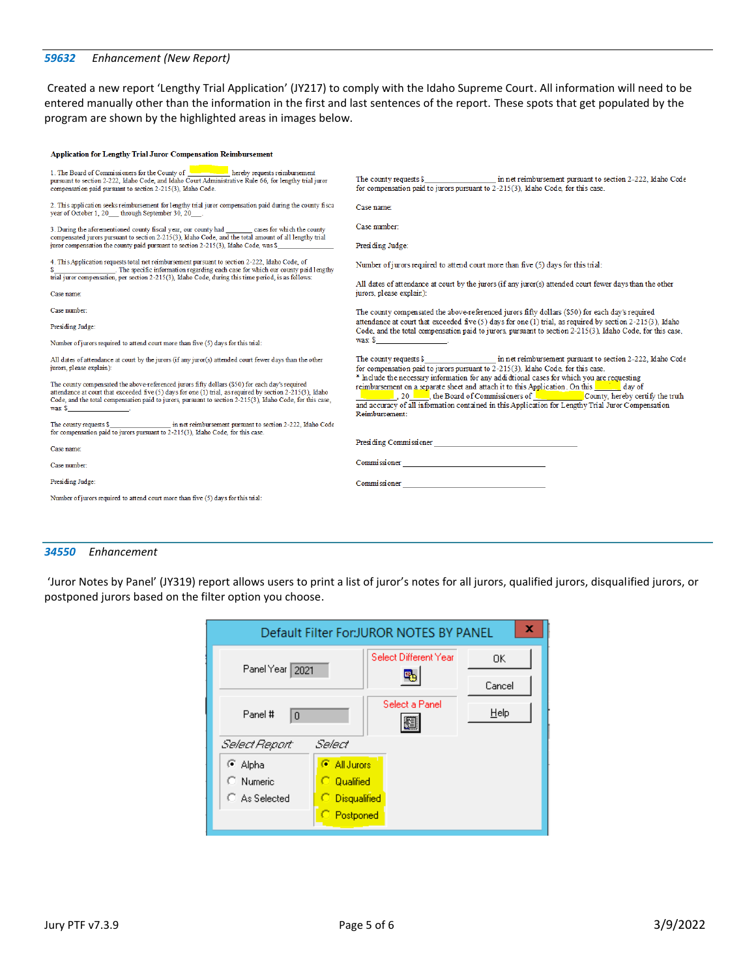## <span id="page-4-0"></span>*59632 Enhancement (New Report)*

Created a new report 'Lengthy Trial Application' (JY217) to comply with the Idaho Supreme Court. All information will need to be entered manually other than the information in the first and last sentences of the report. These spots that get populated by the program are shown by the highlighted areas in images below.

| <b>Application for Lengthy Trial Juror Compensation Reimbursement</b>                                                                                                                                                                                                                                                                             |                                                                                                                                                                                                                                                                                                                                                                                                         |
|---------------------------------------------------------------------------------------------------------------------------------------------------------------------------------------------------------------------------------------------------------------------------------------------------------------------------------------------------|---------------------------------------------------------------------------------------------------------------------------------------------------------------------------------------------------------------------------------------------------------------------------------------------------------------------------------------------------------------------------------------------------------|
| 1. The Board of Commissioners for the County of <b>Commission</b> hereby requests reimbursement<br>pursuant to section 2-222, Idaho Code, and Idaho Court Administrative Rule 66, for lengthy trial juror<br>compensation paid pursuant to section 2-215(3), Idaho Code.                                                                          | The county requests $$$<br>in net reimbursement pursuant to section 2-222, Idaho Code<br>for compensation paid to jurors pursuant to 2-215(3), Idaho Code, for this case.                                                                                                                                                                                                                               |
| 2. This application seeks reimbursement for lengthy trial juror compensation paid during the county fiscal<br>year of October 1, 20 through September 30, 20                                                                                                                                                                                      | Case name:                                                                                                                                                                                                                                                                                                                                                                                              |
| 3. During the aforementioned county fiscal year, our county had cases for which the county<br>compensated jurors pursuant to section 2-215(3), Idaho Code, and the total amount of all lengthy trial                                                                                                                                              | Case number:                                                                                                                                                                                                                                                                                                                                                                                            |
| juror compensation the county paid pursuant to section 2-215(3), Idaho Code, was \$                                                                                                                                                                                                                                                               | Presiding Judge:                                                                                                                                                                                                                                                                                                                                                                                        |
| 4. This Application requests total net reimbursement pursuant to section 2-222. Idaho Code, of<br>\$ The specific information regarding each case for which our county paid lengthy<br>trial juror compensation, per section 2-215(3), Idaho Code, during this time period, is as follows:                                                        | Number of jurors required to attend court more than five (5) days for this trial:                                                                                                                                                                                                                                                                                                                       |
| Case name:                                                                                                                                                                                                                                                                                                                                        | All dates of attendance at court by the jurors (if any juror(s) attended court fewer days than the other<br>jurors, please explain):                                                                                                                                                                                                                                                                    |
| Case number:                                                                                                                                                                                                                                                                                                                                      | The county compensated the above-referenced jurors fifty dollars (\$50) for each day's required                                                                                                                                                                                                                                                                                                         |
| Presiding Judge:                                                                                                                                                                                                                                                                                                                                  | attendance at court that exceeded five $(5)$ days for one $(1)$ trial, as required by section 2-215 $(3)$ . Idaho<br>Code, and the total compensation paid to jurors, pursuant to section 2-215(3). Idaho Code, for this case,                                                                                                                                                                          |
| Number of jurors required to attend court more than five (5) days for this trial:                                                                                                                                                                                                                                                                 | was: $\frac{1}{2}$ $\frac{1}{2}$ $\frac{1}{2}$ $\frac{1}{2}$ $\frac{1}{2}$ $\frac{1}{2}$ $\frac{1}{2}$ $\frac{1}{2}$ $\frac{1}{2}$ $\frac{1}{2}$ $\frac{1}{2}$ $\frac{1}{2}$ $\frac{1}{2}$ $\frac{1}{2}$ $\frac{1}{2}$ $\frac{1}{2}$ $\frac{1}{2}$ $\frac{1}{2}$ $\frac{1}{2}$ $\frac{1}{2}$ $\frac{1}{2}$ $\frac{1}{$                                                                                  |
| All dates of attendance at court by the jurors (if any juror(s) attended court fewer days than the other<br>jurors, please explain):                                                                                                                                                                                                              | The county requests \$ in net reimbursement pursuant to section 2-222, Idaho Code<br>for compensation paid to jurors pursuant to 2-215(3). Idaho Code, for this case.                                                                                                                                                                                                                                   |
| The county compensated the above-referenced jurors fifty dollars (\$50) for each day's required<br>attendance at court that exceeded five (5) days for one (1) trial, as required by section 2-215(3), Idaho<br>Code, and the total compensation paid to jurors, pursuant to section 2-215(3), Idaho Code, for this case,<br>$was \, \texttt{\$}$ | * Include the necessary information for any addiditional cases for which you are requesting<br>reimbursement on a separate sheet and attach it to this Application. On this<br>20 Research of Commissioners of <b>Commissioners</b> of <b>County</b> , hereby certify the truth<br>and accuracy of all information contained in this Application for Lengthy Trial Juror Compensation<br>Reimbursement: |
| in net reimbursement pursuant to section 2-222, Idaho Code<br>The county requests \$<br>for compensation paid to jurors pursuant to 2-215(3). Idaho Code, for this case.                                                                                                                                                                          |                                                                                                                                                                                                                                                                                                                                                                                                         |
| Case name:                                                                                                                                                                                                                                                                                                                                        | Presiding Commissioner                                                                                                                                                                                                                                                                                                                                                                                  |
| Case number:                                                                                                                                                                                                                                                                                                                                      | Commissioner                                                                                                                                                                                                                                                                                                                                                                                            |
| Presiding Judge:                                                                                                                                                                                                                                                                                                                                  |                                                                                                                                                                                                                                                                                                                                                                                                         |
| Number of jurors required to attend court more than five (5) days for this trial:                                                                                                                                                                                                                                                                 |                                                                                                                                                                                                                                                                                                                                                                                                         |
|                                                                                                                                                                                                                                                                                                                                                   |                                                                                                                                                                                                                                                                                                                                                                                                         |

### <span id="page-4-1"></span>*34550 Enhancement*

'Juror Notes by Panel' (JY319) report allows users to print a list of juror's notes for all jurors, qualified jurors, disqualified jurors, or postponed jurors based on the filter option you choose.

| x<br>Default Filter For: JUROR NOTES BY PANEL |                       |        |  |
|-----------------------------------------------|-----------------------|--------|--|
| Panel Year 2021                               | Select Different Year | 0K.    |  |
|                                               |                       | Cancel |  |
| Panel #<br>$\overline{0}$                     | Select a Panel<br>Æ   | Help   |  |
| Select<br>Select Report:                      |                       |        |  |
| ⊕ Alpha                                       | ি All Jurors          |        |  |
| C Numeric                                     | Qualified             |        |  |
| C As Selected                                 | Disqualified          |        |  |
|                                               | Postponed             |        |  |